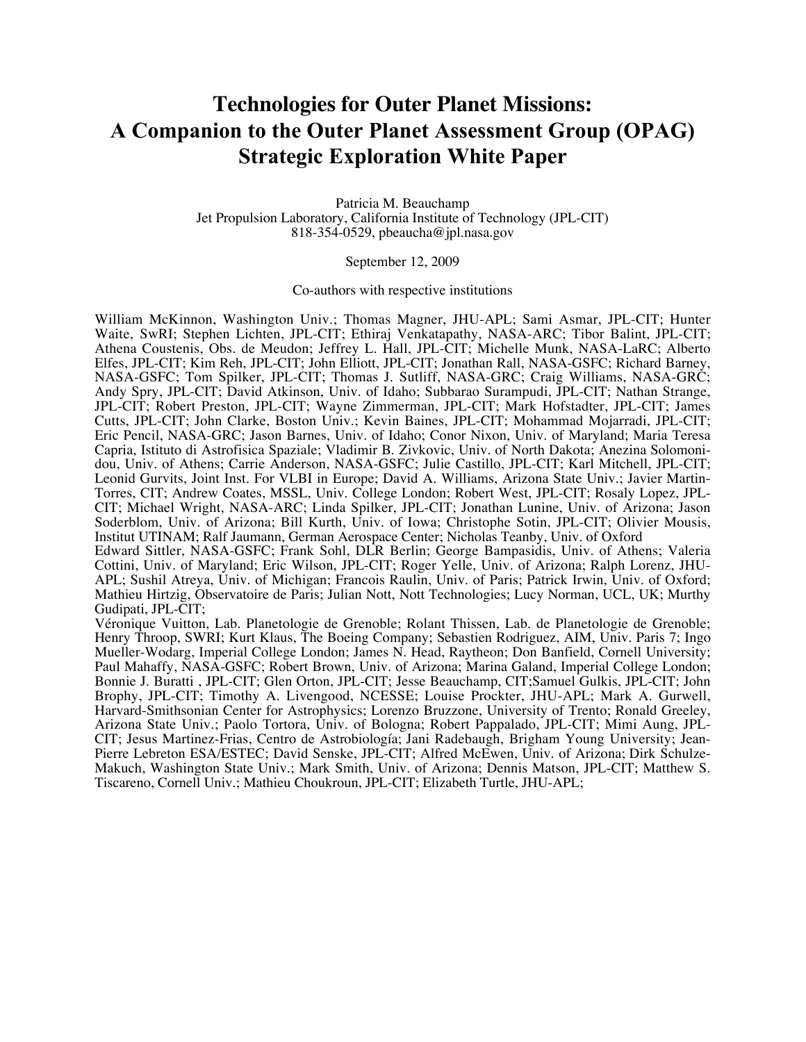# **Technologies for Outer Planet Missions: A Companion to the Outer Planet Assessment Group (OPAG) Strategic Exploration White Paper**

Patricia M. Beauchamp Jet Propulsion Laboratory, California Institute of Technology (JPL-CIT) 818-354-0529, pbeaucha@jpl.nasa.gov

September 12, 2009

#### Co-authors with respective institutions

William McKinnon, Washington Univ.; Thomas Magner, JHU-APL; Sami Asmar, JPL-CIT; Hunter Waite, SwRI; Stephen Lichten, JPL-CIT; Ethiraj Venkatapathy, NASA-ARC; Tibor Balint, JPL-CIT; Athena Coustenis, Obs. de Meudon; Jeffrey L. Hall, JPL-CIT; Michelle Munk, NASA-LaRC; Alberto Elfes, JPL-CIT; Kim Reh, JPL-CIT; John Elliott, JPL-CIT; Jonathan Rall, NASA-GSFC; Richard Barney, NASA-GSFC; Tom Spilker, JPL-CIT; Thomas J. Sutliff, NASA-GRC; Craig Williams, NASA-GRC; Andy Spry, JPL-CIT; David Atkinson, Univ. of Idaho; Subbarao Surampudi, JPL-CIT; Nathan Strange, JPL-CIT; Robert Preston, JPL-CIT; Wayne Zimmerman, JPL-CIT; Mark Hofstadter, JPL-CIT; James Cutts, JPL-CIT; John Clarke, Boston Univ.; Kevin Baines, JPL-CIT; Mohammad Mojarradi, JPL-CIT; Eric Pencil, NASA-GRC; Jason Barnes, Univ. of Idaho; Conor Nixon, Univ. of Maryland; Maria Teresa Capria, Istituto di Astrofisica Spaziale; Vladimir B. Zivkovic, Univ. of North Dakota; Anezina Solomonidou, Univ. of Athens; Carrie Anderson, NASA-GSFC; Julie Castillo, JPL-CIT; Karl Mitchell, JPL-CIT; Leonid Gurvits, Joint Inst. For VLBI in Europe; David A. Williams, Arizona State Univ.; Javier Martin-Torres, CIT; Andrew Coates, MSSL, Univ. College London; Robert West, JPL-CIT; Rosaly Lopez, JPL-CIT; Michael Wright, NASA-ARC; Linda Spilker, JPL-CIT; Jonathan Lunine, Univ. of Arizona; Jason Soderblom, Univ. of Arizona; Bill Kurth, Univ. of Iowa; Christophe Sotin, JPL-CIT; Olivier Mousis, Institut UTINAM; Ralf Jaumann, German Aerospace Center; Nicholas Teanby, Univ. of Oxford Edward Sittler, NASA-GSFC; Frank Sohl, DLR Berlin; George Bampasidis, Univ. of Athens; Valeria Cottini, Univ. of Maryland; Eric Wilson, JPL-CIT; Roger Yelle, Univ. of Arizona; Ralph Lorenz, JHU-

APL; Sushil Atreya, Univ. of Michigan; Francois Raulin, Univ. of Paris; Patrick Irwin, Univ. of Oxford; Mathieu Hirtzig, Observatoire de Paris; Julian Nott, Nott Technologies; Lucy Norman, UCL, UK; Murthy Gudipati, JPL-CIT;

Véronique Vuitton, Lab. Planetologie de Grenoble; Rolant Thissen, Lab. de Planetologie de Grenoble; Henry Throop, SWRI; Kurt Klaus, The Boeing Company; Sebastien Rodriguez, AIM, Univ. Paris 7; Ingo Mueller-Wodarg, Imperial College London; James N. Head, Raytheon; Don Banfield, Cornell University; Paul Mahaffy, NASA-GSFC; Robert Brown, Univ. of Arizona; Marina Galand, Imperial College London; Bonnie J. Buratti , JPL-CIT; Glen Orton, JPL-CIT; Jesse Beauchamp, CIT;Samuel Gulkis, JPL-CIT; John Brophy, JPL-CIT; Timothy A. Livengood, NCESSE; Louise Prockter, JHU-APL; Mark A. Gurwell, Harvard-Smithsonian Center for Astrophysics; Lorenzo Bruzzone, University of Trento; Ronald Greeley, Arizona State Univ.; Paolo Tortora, Univ. of Bologna; Robert Pappalado, JPL-CIT; Mimi Aung, JPL-CIT; Jesus Martinez-Frias, Centro de Astrobiología; Jani Radebaugh, Brigham Young University; Jean-Pierre Lebreton ESA/ESTEC; David Senske, JPL-CIT; Alfred McEwen, Univ. of Arizona; Dirk Schulze-Makuch, Washington State Univ.; Mark Smith, Univ. of Arizona; Dennis Matson, JPL-CIT; Matthew S. Tiscareno, Cornell Univ.; Mathieu Choukroun, JPL-CIT; Elizabeth Turtle, JHU-APL;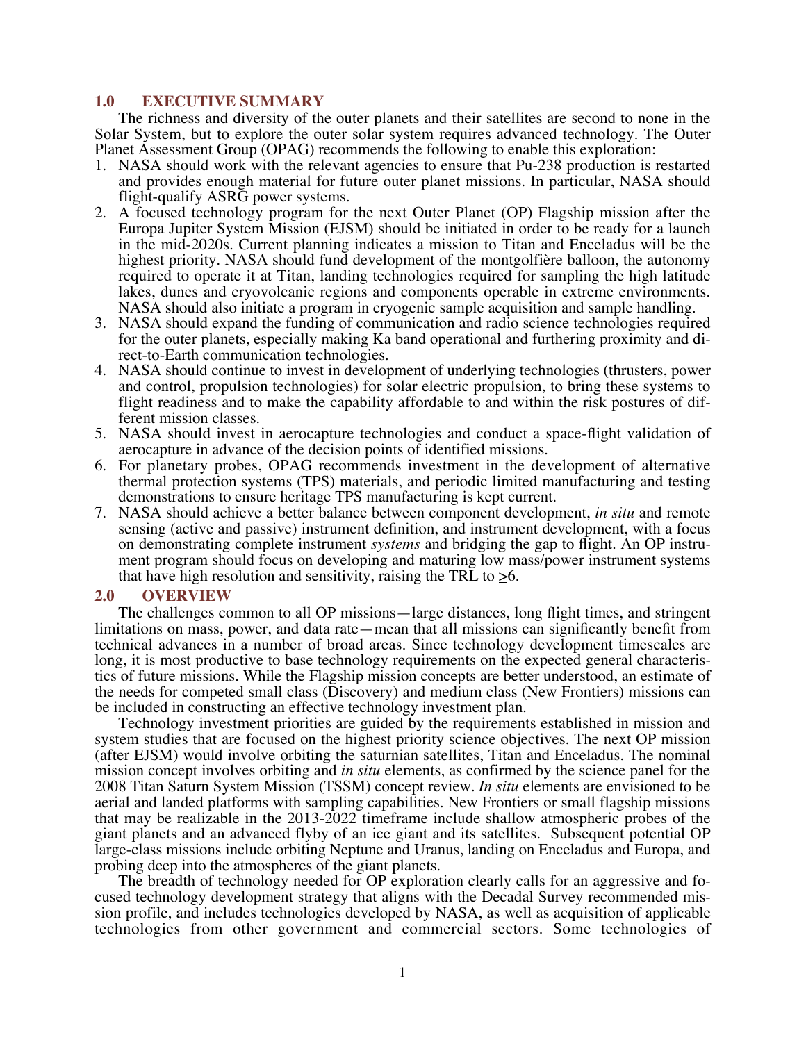# **1.0 EXECUTIVE SUMMARY**

The richness and diversity of the outer planets and their satellites are second to none in the Solar System, but to explore the outer solar system requires advanced technology. The Outer Planet Assessment Group (OPAG) recommends the following to enable this exploration:

- 1. NASA should work with the relevant agencies to ensure that Pu-238 production is restarted and provides enough material for future outer planet missions. In particular, NASA should flight-qualify ASRG power systems.
- 2. A focused technology program for the next Outer Planet (OP) Flagship mission after the Europa Jupiter System Mission (EJSM) should be initiated in order to be ready for a launch in the mid-2020s. Current planning indicates a mission to Titan and Enceladus will be the highest priority. NASA should fund development of the montgolfière balloon, the autonomy required to operate it at Titan, landing technologies required for sampling the high latitude lakes, dunes and cryovolcanic regions and components operable in extreme environments. NASA should also initiate a program in cryogenic sample acquisition and sample handling.
- 3. NASA should expand the funding of communication and radio science technologies required for the outer planets, especially making Ka band operational and furthering proximity and direct-to-Earth communication technologies.
- 4. NASA should continue to invest in development of underlying technologies (thrusters, power and control, propulsion technologies) for solar electric propulsion, to bring these systems to flight readiness and to make the capability affordable to and within the risk postures of different mission classes.
- 5. NASA should invest in aerocapture technologies and conduct a space-flight validation of aerocapture in advance of the decision points of identified missions.
- 6. For planetary probes, OPAG recommends investment in the development of alternative thermal protection systems (TPS) materials, and periodic limited manufacturing and testing demonstrations to ensure heritage TPS manufacturing is kept current.
- 7. NASA should achieve a better balance between component development, *in situ* and remote sensing (active and passive) instrument definition, and instrument development, with a focus on demonstrating complete instrument *systems* and bridging the gap to flight. An OP instrument program should focus on developing and maturing low mass/power instrument systems that have high resolution and sensitivity, raising the TRL to  $\geq 6$ .

#### **2.0 OVERVIEW**

The challenges common to all OP missions—large distances, long flight times, and stringent limitations on mass, power, and data rate—mean that all missions can significantly benefit from technical advances in a number of broad areas. Since technology development timescales are long, it is most productive to base technology requirements on the expected general characteristics of future missions. While the Flagship mission concepts are better understood, an estimate of the needs for competed small class (Discovery) and medium class (New Frontiers) missions can be included in constructing an effective technology investment plan.

Technology investment priorities are guided by the requirements established in mission and system studies that are focused on the highest priority science objectives. The next OP mission (after EJSM) would involve orbiting the saturnian satellites, Titan and Enceladus. The nominal mission concept involves orbiting and *in situ* elements, as confirmed by the science panel for the 2008 Titan Saturn System Mission (TSSM) concept review. *In situ* elements are envisioned to be aerial and landed platforms with sampling capabilities. New Frontiers or small flagship missions that may be realizable in the 2013-2022 timeframe include shallow atmospheric probes of the giant planets and an advanced flyby of an ice giant and its satellites. Subsequent potential OP large-class missions include orbiting Neptune and Uranus, landing on Enceladus and Europa, and probing deep into the atmospheres of the giant planets.

The breadth of technology needed for OP exploration clearly calls for an aggressive and focused technology development strategy that aligns with the Decadal Survey recommended mission profile, and includes technologies developed by NASA, as well as acquisition of applicable technologies from other government and commercial sectors. Some technologies of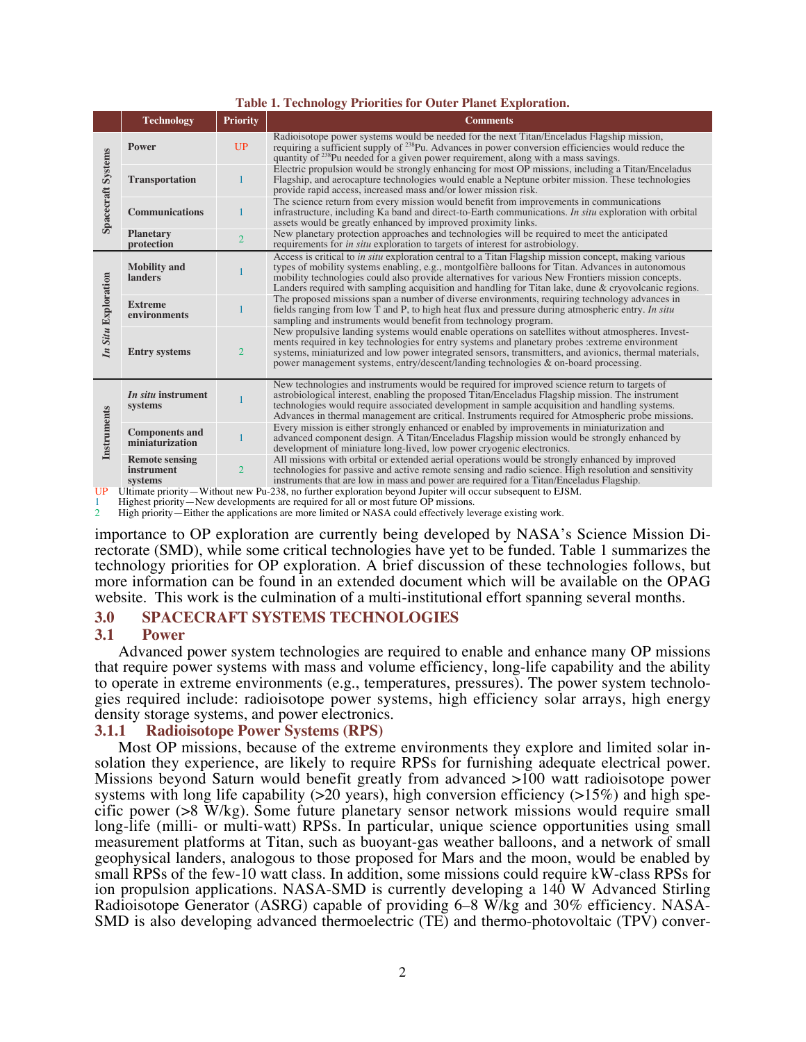| <b>TADIC 1. I CULTURING</b> THE RULLES TOT OUTCH TRAINER EXPLOITANT. |                                                       |                 |                                                                                                                                                                                                                                                                                                                                                                                                                                |  |  |  |  |  |  |
|----------------------------------------------------------------------|-------------------------------------------------------|-----------------|--------------------------------------------------------------------------------------------------------------------------------------------------------------------------------------------------------------------------------------------------------------------------------------------------------------------------------------------------------------------------------------------------------------------------------|--|--|--|--|--|--|
|                                                                      | <b>Technology</b>                                     | <b>Priority</b> | <b>Comments</b>                                                                                                                                                                                                                                                                                                                                                                                                                |  |  |  |  |  |  |
| <b>Spacecraft Systems</b>                                            | <b>Power</b>                                          | UP              | Radioisotope power systems would be needed for the next Titan/Enceladus Flagship mission,<br>requiring a sufficient supply of <sup>238</sup> Pu. Advances in power conversion efficiencies would reduce the<br>quantity of <sup>238</sup> Pu needed for a given power requirement, along with a mass savings.                                                                                                                  |  |  |  |  |  |  |
|                                                                      | <b>Transportation</b>                                 |                 | Electric propulsion would be strongly enhancing for most OP missions, including a Titan/Enceladus<br>Flagship, and aerocapture technologies would enable a Neptune orbiter mission. These technologies<br>provide rapid access, increased mass and/or lower mission risk.                                                                                                                                                      |  |  |  |  |  |  |
|                                                                      | <b>Communications</b>                                 |                 | The science return from every mission would benefit from improvements in communications<br>infrastructure, including Ka band and direct-to-Earth communications. In situ exploration with orbital<br>assets would be greatly enhanced by improved proximity links.                                                                                                                                                             |  |  |  |  |  |  |
|                                                                      | <b>Planetary</b><br>protection                        | $\overline{2}$  | New planetary protection approaches and technologies will be required to meet the anticipated<br>requirements for <i>in situ</i> exploration to targets of interest for astrobiology.                                                                                                                                                                                                                                          |  |  |  |  |  |  |
| In Situ Exploration                                                  | <b>Mobility</b> and<br><b>landers</b>                 |                 | Access is critical to <i>in situ</i> exploration central to a Titan Flagship mission concept, making various<br>types of mobility systems enabling, e.g., montgolfière balloons for Titan. Advances in autonomous<br>mobility technologies could also provide alternatives for various New Frontiers mission concepts.<br>Landers required with sampling acquisition and handling for Titan lake, dune & cryovolcanic regions. |  |  |  |  |  |  |
|                                                                      | <b>Extreme</b><br>environments                        |                 | The proposed missions span a number of diverse environments, requiring technology advances in<br>fields ranging from low T and P, to high heat flux and pressure during atmospheric entry. In situ<br>sampling and instruments would benefit from technology program.                                                                                                                                                          |  |  |  |  |  |  |
|                                                                      | <b>Entry systems</b>                                  | $\overline{2}$  | New propulsive landing systems would enable operations on satellites without atmospheres. Invest-<br>ments required in key technologies for entry systems and planetary probes : extreme environment<br>systems, miniaturized and low power integrated sensors, transmitters, and avionics, thermal materials,<br>power management systems, entry/descent/landing technologies & on-board processing.                          |  |  |  |  |  |  |
| Instruments                                                          | In situ instrument<br>systems                         |                 | New technologies and instruments would be required for improved science return to targets of<br>astrobiological interest, enabling the proposed Titan/Enceladus Flagship mission. The instrument<br>technologies would require associated development in sample acquisition and handling systems.<br>Advances in thermal management are critical. Instruments required for Atmospheric probe missions.                         |  |  |  |  |  |  |
|                                                                      | <b>Components and</b><br>miniaturization              |                 | Every mission is either strongly enhanced or enabled by improvements in miniaturization and<br>advanced component design. A Titan/Enceladus Flagship mission would be strongly enhanced by<br>development of miniature long-lived, low power cryogenic electronics.                                                                                                                                                            |  |  |  |  |  |  |
|                                                                      | <b>Remote sensing</b><br><i>instrument</i><br>systems | $\overline{2}$  | All missions with orbital or extended aerial operations would be strongly enhanced by improved<br>technologies for passive and active remote sensing and radio science. High resolution and sensitivity<br>instruments that are low in mass and power are required for a Titan/Enceladus Flagship.                                                                                                                             |  |  |  |  |  |  |
| UP                                                                   |                                                       |                 | Ultimate priority—Without new Pu-238, no further exploration beyond Jupiter will occur subsequent to EJSM.                                                                                                                                                                                                                                                                                                                     |  |  |  |  |  |  |

**Table 1. Technology Priorities for Outer Planet Exploration.**

UP Ultimate priority—Without new Pu-238, no further exploration beyond Jupiter will occur subsequent to EJSM.<br>1 Highest priority—New developments are required for all or most future OP missions.

2 High priority—Either the applications are more limited or NASA could effectively leverage existing work.

importance to OP exploration are currently being developed by NASA's Science Mission Directorate (SMD), while some critical technologies have yet to be funded. Table 1 summarizes the technology priorities for OP exploration. A brief discussion of these technologies follows, but more information can be found in an extended document which will be available on the OPAG website. This work is the culmination of a multi-institutional effort spanning several months.

## **3.0 SPACECRAFT SYSTEMS TECHNOLOGIES**

#### **3.1 Power**

Advanced power system technologies are required to enable and enhance many OP missions that require power systems with mass and volume efficiency, long-life capability and the ability to operate in extreme environments (e.g., temperatures, pressures). The power system technologies required include: radioisotope power systems, high efficiency solar arrays, high energy density storage systems, and power electronics.

# **3.1.1 Radioisotope Power Systems (RPS)**

Most OP missions, because of the extreme environments they explore and limited solar insolation they experience, are likely to require RPSs for furnishing adequate electrical power. Missions beyond Saturn would benefit greatly from advanced >100 watt radioisotope power systems with long life capability ( $>20$  years), high conversion efficiency ( $>15\%$ ) and high specific power (>8 W/kg). Some future planetary sensor network missions would require small long-life (milli- or multi-watt) RPSs. In particular, unique science opportunities using small measurement platforms at Titan, such as buoyant-gas weather balloons, and a network of small geophysical landers, analogous to those proposed for Mars and the moon, would be enabled by small RPSs of the few-10 watt class. In addition, some missions could require kW-class RPSs for ion propulsion applications. NASA-SMD is currently developing a 140 W Advanced Stirling Radioisotope Generator (ASRG) capable of providing 6–8 W/kg and 30% efficiency. NASA-SMD is also developing advanced thermoelectric (TE) and thermo-photovoltaic (TPV) conver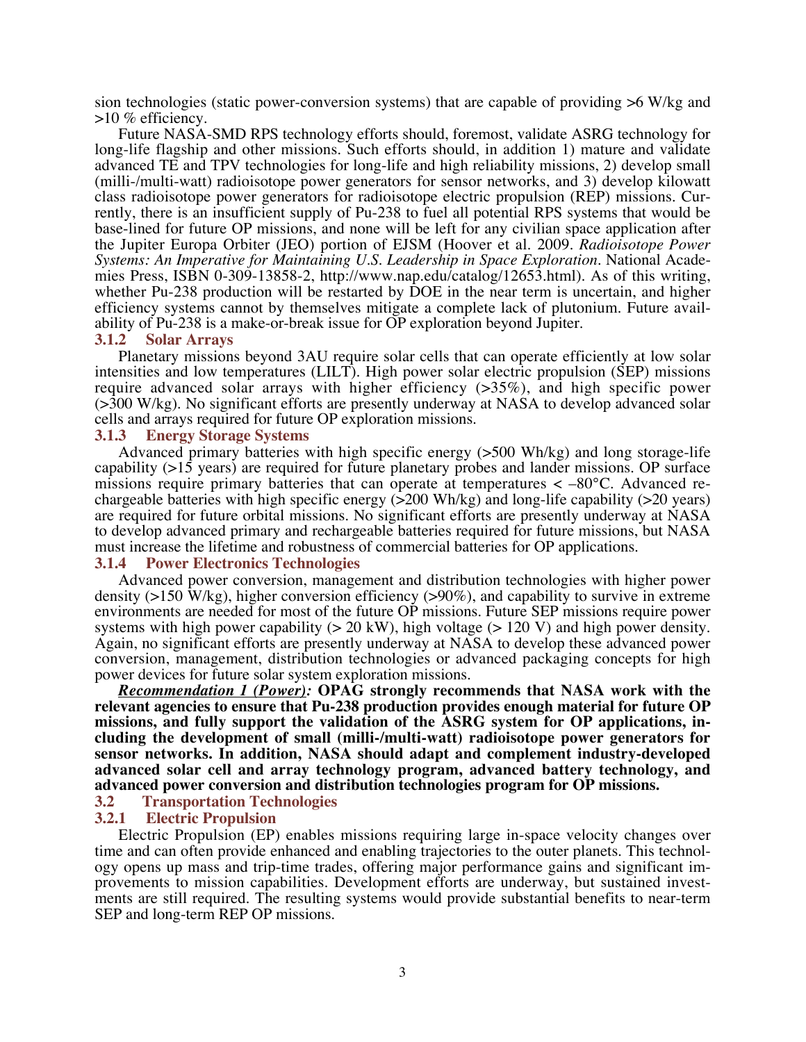sion technologies (static power-conversion systems) that are capable of providing >6 W/kg and >10 % efficiency.

Future NASA-SMD RPS technology efforts should, foremost, validate ASRG technology for long-life flagship and other missions. Such efforts should, in addition 1) mature and validate advanced TE and TPV technologies for long-life and high reliability missions, 2) develop small (milli-/multi-watt) radioisotope power generators for sensor networks, and 3) develop kilowatt class radioisotope power generators for radioisotope electric propulsion (REP) missions. Currently, there is an insufficient supply of Pu-238 to fuel all potential RPS systems that would be base-lined for future OP missions, and none will be left for any civilian space application after the Jupiter Europa Orbiter (JEO) portion of EJSM (Hoover et al. 2009. *Radioisotope Power Systems: An Imperative for Maintaining U.S. Leadership in Space Exploration*. National Academies Press, ISBN 0-309-13858-2, http://www.nap.edu/catalog/12653.html). As of this writing, whether Pu-238 production will be restarted by DOE in the near term is uncertain, and higher efficiency systems cannot by themselves mitigate a complete lack of plutonium. Future availability of Pu-238 is a make-or-break issue for OP exploration beyond Jupiter.

#### **3.1.2 Solar Arrays**

Planetary missions beyond 3AU require solar cells that can operate efficiently at low solar intensities and low temperatures (LILT). High power solar electric propulsion (SEP) missions require advanced solar arrays with higher efficiency (>35%), and high specific power (>300 W/kg). No significant efforts are presently underway at NASA to develop advanced solar cells and arrays required for future OP exploration missions.

#### **3.1.3 Energy Storage Systems**

Advanced primary batteries with high specific energy (>500 Wh/kg) and long storage-life capability (>15 years) are required for future planetary probes and lander missions. OP surface missions require primary batteries that can operate at temperatures  $\lt$  -80 $\degree$ C. Advanced rechargeable batteries with high specific energy  $(>200 \text{ Wh/kg})$  and long-life capability  $(>20 \text{ years})$ are required for future orbital missions. No significant efforts are presently underway at NASA to develop advanced primary and rechargeable batteries required for future missions, but NASA must increase the lifetime and robustness of commercial batteries for OP applications.

## **3.1.4 Power Electronics Technologies**

Advanced power conversion, management and distribution technologies with higher power density ( $>150$  W/kg), higher conversion efficiency ( $>90\%$ ), and capability to survive in extreme environments are needed for most of the future OP missions. Future SEP missions require power systems with high power capability  $(> 20 \text{ kW})$ , high voltage  $(> 120 \text{ V})$  and high power density. Again, no significant efforts are presently underway at NASA to develop these advanced power conversion, management, distribution technologies or advanced packaging concepts for high power devices for future solar system exploration missions.

*Recommendation 1 (Power):* **OPAG strongly recommends that NASA work with the relevant agencies to ensure that Pu-238 production provides enough material for future OP missions, and fully support the validation of the ASRG system for OP applications, including the development of small (milli-/multi-watt) radioisotope power generators for sensor networks. In addition, NASA should adapt and complement industry-developed advanced solar cell and array technology program, advanced battery technology, and advanced power conversion and distribution technologies program for OP missions.**

# **3.2 Transportation Technologies**

# **3.2.1 Electric Propulsion**

Electric Propulsion (EP) enables missions requiring large in-space velocity changes over time and can often provide enhanced and enabling trajectories to the outer planets. This technology opens up mass and trip-time trades, offering major performance gains and significant improvements to mission capabilities. Development efforts are underway, but sustained investments are still required. The resulting systems would provide substantial benefits to near-term SEP and long-term REP OP missions.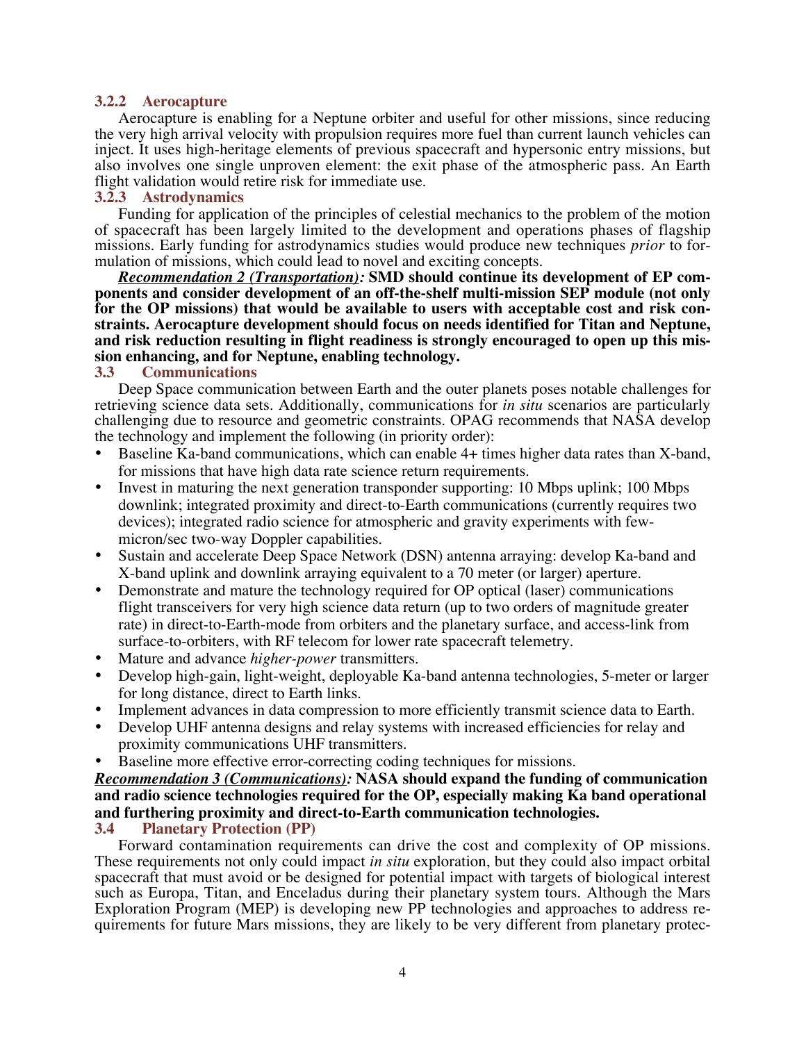# **3.2.2 Aerocapture**

Aerocapture is enabling for a Neptune orbiter and useful for other missions, since reducing the very high arrival velocity with propulsion requires more fuel than current launch vehicles can inject. It uses high-heritage elements of previous spacecraft and hypersonic entry missions, but also involves one single unproven element: the exit phase of the atmospheric pass. An Earth flight validation would retire risk for immediate use.

## **3.2.3 Astrodynamics**

Funding for application of the principles of celestial mechanics to the problem of the motion of spacecraft has been largely limited to the development and operations phases of flagship missions. Early funding for astrodynamics studies would produce new techniques *prior* to formulation of missions, which could lead to novel and exciting concepts.

*Recommendation 2 (Transportation):* **SMD should continue its development of EP components and consider development of an off-the-shelf multi-mission SEP module (not only for the OP missions) that would be available to users with acceptable cost and risk constraints. Aerocapture development should focus on needs identified for Titan and Neptune, and risk reduction resulting in flight readiness is strongly encouraged to open up this mission enhancing, and for Neptune, enabling technology.**

# **3.3 Communications**

Deep Space communication between Earth and the outer planets poses notable challenges for retrieving science data sets. Additionally, communications for *in situ* scenarios are particularly challenging due to resource and geometric constraints. OPAG recommends that NASA develop the technology and implement the following (in priority order):

- Baseline Ka-band communications, which can enable 4+ times higher data rates than X-band, for missions that have high data rate science return requirements.
- Invest in maturing the next generation transponder supporting: 10 Mbps uplink; 100 Mbps downlink; integrated proximity and direct-to-Earth communications (currently requires two devices); integrated radio science for atmospheric and gravity experiments with fewmicron/sec two-way Doppler capabilities.
- Sustain and accelerate Deep Space Network (DSN) antenna arraying: develop Ka-band and X-band uplink and downlink arraying equivalent to a 70 meter (or larger) aperture.
- Demonstrate and mature the technology required for OP optical (laser) communications flight transceivers for very high science data return (up to two orders of magnitude greater rate) in direct-to-Earth-mode from orbiters and the planetary surface, and access-link from surface-to-orbiters, with RF telecom for lower rate spacecraft telemetry.
- Mature and advance *higher-power* transmitters.
- Develop high-gain, light-weight, deployable Ka-band antenna technologies, 5-meter or larger for long distance, direct to Earth links.
- Implement advances in data compression to more efficiently transmit science data to Earth.
- Develop UHF antenna designs and relay systems with increased efficiencies for relay and proximity communications UHF transmitters.
- Baseline more effective error-correcting coding techniques for missions.

# *Recommendation 3 (Communications):* **NASA should expand the funding of communication and radio science technologies required for the OP, especially making Ka band operational and furthering proximity and direct-to-Earth communication technologies. 3.4 Planetary Protection (PP)**

Forward contamination requirements can drive the cost and complexity of OP missions. These requirements not only could impact *in situ* exploration, but they could also impact orbital spacecraft that must avoid or be designed for potential impact with targets of biological interest such as Europa, Titan, and Enceladus during their planetary system tours. Although the Mars Exploration Program (MEP) is developing new PP technologies and approaches to address requirements for future Mars missions, they are likely to be very different from planetary protec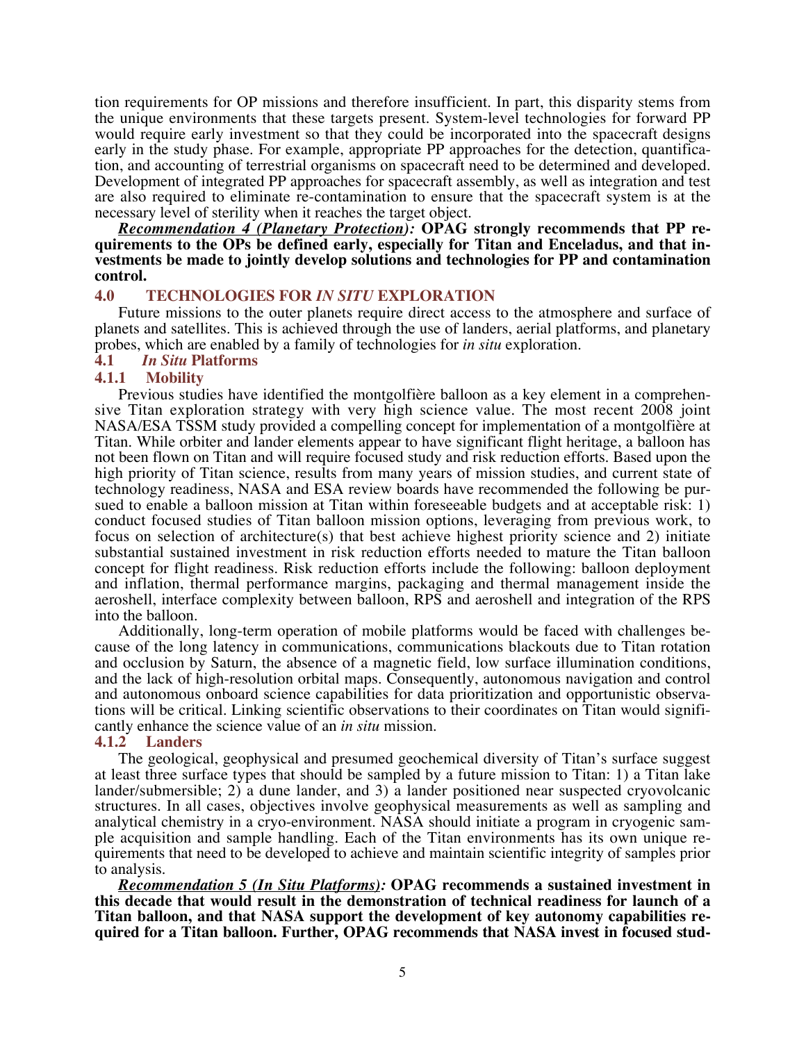tion requirements for OP missions and therefore insufficient. In part, this disparity stems from the unique environments that these targets present. System-level technologies for forward PP would require early investment so that they could be incorporated into the spacecraft designs early in the study phase. For example, appropriate PP approaches for the detection, quantification, and accounting of terrestrial organisms on spacecraft need to be determined and developed. Development of integrated PP approaches for spacecraft assembly, as well as integration and test are also required to eliminate re-contamination to ensure that the spacecraft system is at the necessary level of sterility when it reaches the target object.

*Recommendation 4 (Planetary Protection):* **OPAG strongly recommends that PP requirements to the OPs be defined early, especially for Titan and Enceladus, and that investments be made to jointly develop solutions and technologies for PP and contamination control.**

# **4.0 TECHNOLOGIES FOR** *IN SITU* **EXPLORATION**

Future missions to the outer planets require direct access to the atmosphere and surface of planets and satellites. This is achieved through the use of landers, aerial platforms, and planetary probes, which are enabled by a family of technologies for *in situ* exploration.

# **4.1** *In Situ* **Platforms**

# **4.1.1 Mobility**

Previous studies have identified the montgolfière balloon as a key element in a comprehensive Titan exploration strategy with very high science value. The most recent 2008 joint NASA/ESA TSSM study provided a compelling concept for implementation of a montgolfière at Titan. While orbiter and lander elements appear to have significant flight heritage, a balloon has not been flown on Titan and will require focused study and risk reduction efforts. Based upon the high priority of Titan science, results from many years of mission studies, and current state of technology readiness, NASA and ESA review boards have recommended the following be pursued to enable a balloon mission at Titan within foreseeable budgets and at acceptable risk: 1) conduct focused studies of Titan balloon mission options, leveraging from previous work, to focus on selection of architecture(s) that best achieve highest priority science and 2) initiate substantial sustained investment in risk reduction efforts needed to mature the Titan balloon concept for flight readiness. Risk reduction efforts include the following: balloon deployment and inflation, thermal performance margins, packaging and thermal management inside the aeroshell, interface complexity between balloon, RPS and aeroshell and integration of the RPS into the balloon.

Additionally, long-term operation of mobile platforms would be faced with challenges because of the long latency in communications, communications blackouts due to Titan rotation and occlusion by Saturn, the absence of a magnetic field, low surface illumination conditions, and the lack of high-resolution orbital maps. Consequently, autonomous navigation and control and autonomous onboard science capabilities for data prioritization and opportunistic observations will be critical. Linking scientific observations to their coordinates on Titan would significantly enhance the science value of an *in situ* mission.

#### **4.1.2 Landers**

The geological, geophysical and presumed geochemical diversity of Titan's surface suggest at least three surface types that should be sampled by a future mission to Titan: 1) a Titan lake lander/submersible; 2) a dune lander, and 3) a lander positioned near suspected cryovolcanic structures. In all cases, objectives involve geophysical measurements as well as sampling and analytical chemistry in a cryo-environment. NASA should initiate a program in cryogenic sample acquisition and sample handling. Each of the Titan environments has its own unique requirements that need to be developed to achieve and maintain scientific integrity of samples prior to analysis.

*Recommendation 5 (In Situ Platforms):* **OPAG recommends a sustained investment in this decade that would result in the demonstration of technical readiness for launch of a Titan balloon, and that NASA support the development of key autonomy capabilities required for a Titan balloon. Further, OPAG recommends that NASA invest in focused stud-**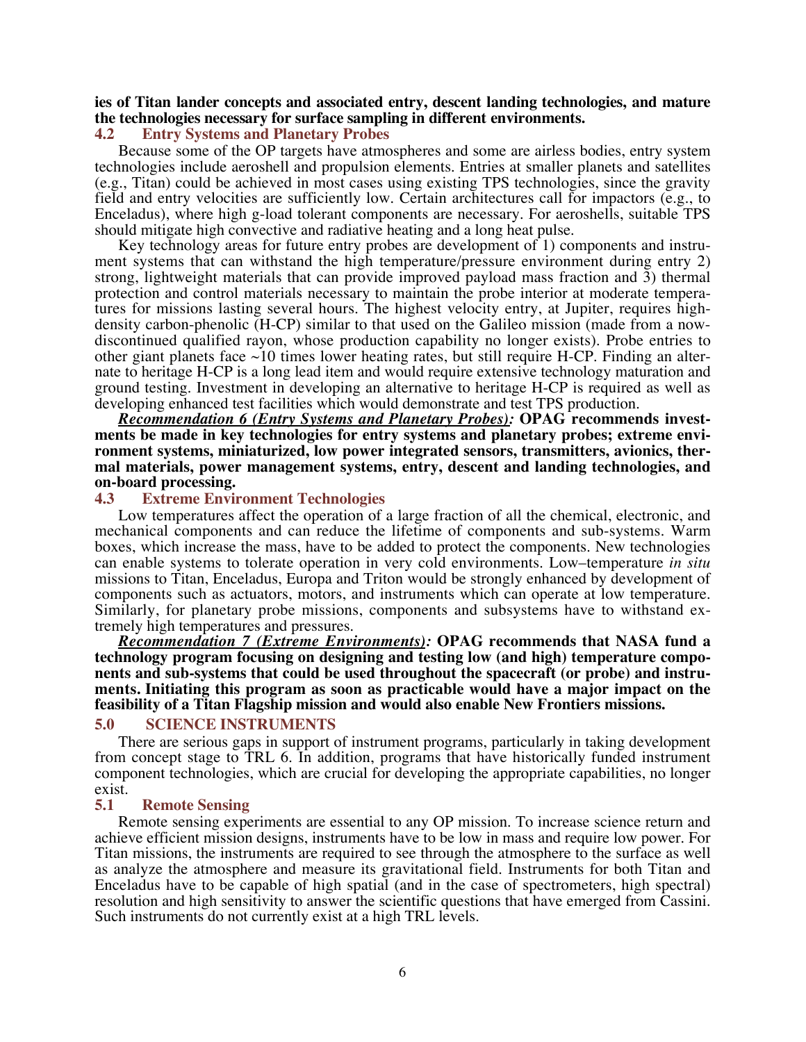# **ies of Titan lander concepts and associated entry, descent landing technologies, and mature the technologies necessary for surface sampling in different environments.**

## **4.2 Entry Systems and Planetary Probes**

Because some of the OP targets have atmospheres and some are airless bodies, entry system technologies include aeroshell and propulsion elements. Entries at smaller planets and satellites (e.g., Titan) could be achieved in most cases using existing TPS technologies, since the gravity field and entry velocities are sufficiently low. Certain architectures call for impactors (e.g., to Enceladus), where high g-load tolerant components are necessary. For aeroshells, suitable TPS should mitigate high convective and radiative heating and a long heat pulse.

Key technology areas for future entry probes are development of 1) components and instrument systems that can withstand the high temperature/pressure environment during entry 2) strong, lightweight materials that can provide improved payload mass fraction and 3) thermal protection and control materials necessary to maintain the probe interior at moderate temperatures for missions lasting several hours. The highest velocity entry, at Jupiter, requires highdensity carbon-phenolic (H-CP) similar to that used on the Galileo mission (made from a nowdiscontinued qualified rayon, whose production capability no longer exists). Probe entries to other giant planets face  $\sim$ 10 times lower heating rates, but still require H-CP. Finding an alternate to heritage H-CP is a long lead item and would require extensive technology maturation and ground testing. Investment in developing an alternative to heritage H-CP is required as well as developing enhanced test facilities which would demonstrate and test TPS production.

*Recommendation 6 (Entry Systems and Planetary Probes):* **OPAG recommends investments be made in key technologies for entry systems and planetary probes; extreme environment systems, miniaturized, low power integrated sensors, transmitters, avionics, thermal materials, power management systems, entry, descent and landing technologies, and on-board processing.**

#### **4.3 Extreme Environment Technologies**

Low temperatures affect the operation of a large fraction of all the chemical, electronic, and mechanical components and can reduce the lifetime of components and sub-systems. Warm boxes, which increase the mass, have to be added to protect the components. New technologies can enable systems to tolerate operation in very cold environments. Low–temperature *in situ* missions to Titan, Enceladus, Europa and Triton would be strongly enhanced by development of components such as actuators, motors, and instruments which can operate at low temperature. Similarly, for planetary probe missions, components and subsystems have to withstand extremely high temperatures and pressures.

*Recommendation 7 (Extreme Environments):* **OPAG recommends that NASA fund a technology program focusing on designing and testing low (and high) temperature components and sub-systems that could be used throughout the spacecraft (or probe) and instruments. Initiating this program as soon as practicable would have a major impact on the feasibility of a Titan Flagship mission and would also enable New Frontiers missions.**

#### **5.0 SCIENCE INSTRUMENTS**

There are serious gaps in support of instrument programs, particularly in taking development from concept stage to TRL 6. In addition, programs that have historically funded instrument component technologies, which are crucial for developing the appropriate capabilities, no longer exist.

#### **5.1 Remote Sensing**

Remote sensing experiments are essential to any OP mission. To increase science return and achieve efficient mission designs, instruments have to be low in mass and require low power. For Titan missions, the instruments are required to see through the atmosphere to the surface as well as analyze the atmosphere and measure its gravitational field. Instruments for both Titan and Enceladus have to be capable of high spatial (and in the case of spectrometers, high spectral) resolution and high sensitivity to answer the scientific questions that have emerged from Cassini. Such instruments do not currently exist at a high TRL levels.